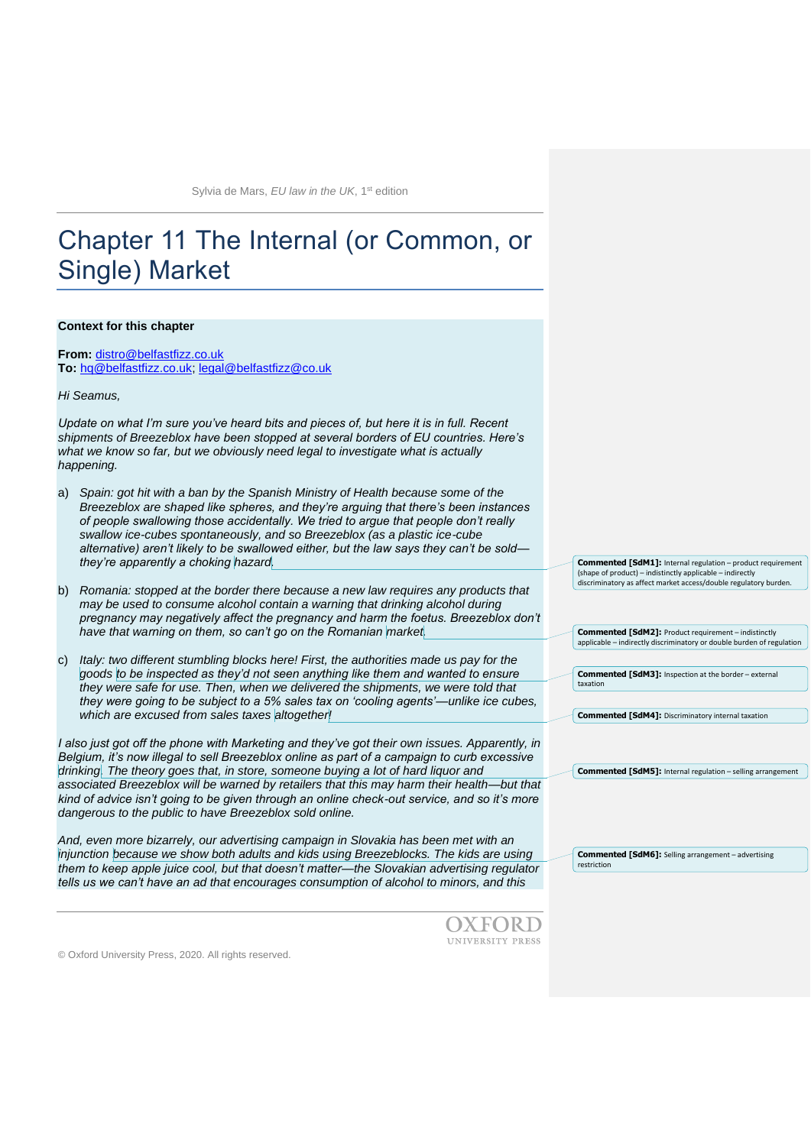# Chapter 11 The Internal (or Common, or Single) Market

#### **Context for this chapter**

**From:** [distro@belfastfizz.co.uk](mailto:distro@belfastfizz.co.uk) **To:** [hq@belfastfizz.co.uk;](mailto:hq@belfastfizz.co.uk) [legal@belfastfizz@co.uk](mailto:legal@belfastfizz@co.uk)

*Hi Seamus,*

*Update on what I'm sure you've heard bits and pieces of, but here it is in full. Recent shipments of Breezeblox have been stopped at several borders of EU countries. Here's*  what we know so far, but we obviously need legal to investigate what is actually *happening.*

- a) *Spain: got hit with a ban by the Spanish Ministry of Health because some of the Breezeblox are shaped like spheres, and they're arguing that there's been instances of people swallowing those accidentally. We tried to argue that people don't really swallow ice-cubes spontaneously, and so Breezeblox (as a plastic ice-cube alternative) aren't likely to be swallowed either, but the law says they can't be sold they're apparently a choking hazard.*
- b) *Romania: stopped at the border there because a new law requires any products that may be used to consume alcohol contain a warning that drinking alcohol during pregnancy may negatively affect the pregnancy and harm the foetus. Breezeblox don't have that warning on them, so can't go on the Romanian market.*
- c) *Italy: two different stumbling blocks here! First, the authorities made us pay for the goods to be inspected as they'd not seen anything like them and wanted to ensure they were safe for use. Then, when we delivered the shipments, we were told that they were going to be subject to a 5% sales tax on 'cooling agents'—unlike ice cubes, which are excused from sales taxes altogether!*

*I also just got off the phone with Marketing and they've got their own issues. Apparently, in Belgium, it's now illegal to sell Breezeblox online as part of a campaign to curb excessive drinking. The theory goes that, in store, someone buying a lot of hard liquor and associated Breezeblox will be warned by retailers that this may harm their health—but that kind of advice isn't going to be given through an online check-out service, and so it's more dangerous to the public to have Breezeblox sold online.* 

*And, even more bizarrely, our advertising campaign in Slovakia has been met with an injunction because we show both adults and kids using Breezeblocks. The kids are using them to keep apple juice cool, but that doesn't matter—the Slovakian advertising regulator tells us we can't have an ad that encourages consumption of alcohol to minors, and this* 



© Oxford University Press, 2020. All rights reserved.

**Commented [SdM1]:** Internal regulation – product requirement (shape of product) – indistinctly applicable – indirectly discriminatory as affect market access/double regulatory burden.

**Commented [SdM2]:** Product requirement – indistinctly applicable – indirectly discriminatory or double burden of regulation

**Commented [SdM3]:** Inspection at the border – external taxation

**Commented [SdM4]:** Discriminatory internal taxation

**Commented [SdM5]:** Internal regulation – selling arrangement

**Commented [SdM6]:** Selling arrangement – advertising restriction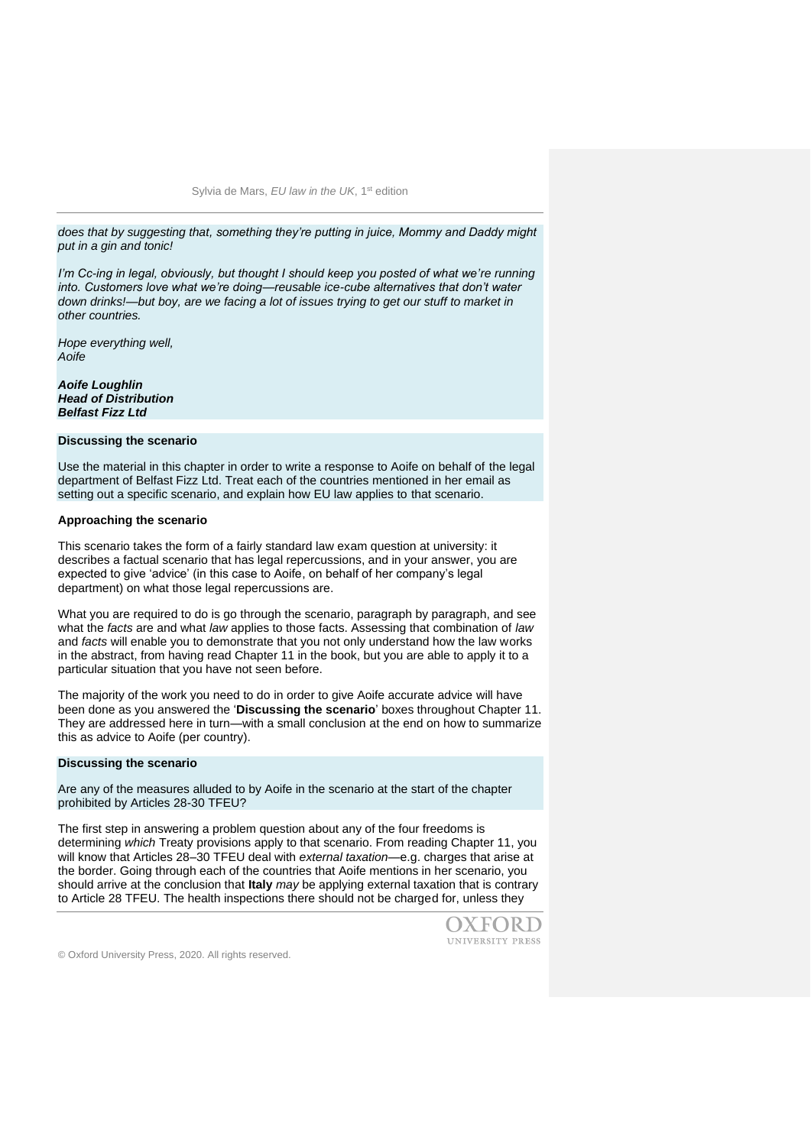*does that by suggesting that, something they're putting in juice, Mommy and Daddy might put in a gin and tonic!*

*I'm Cc-ing in legal, obviously, but thought I should keep you posted of what we're running into. Customers love what we're doing—reusable ice-cube alternatives that don't water down drinks!—but boy, are we facing a lot of issues trying to get our stuff to market in other countries.*

*Hope everything well, Aoife*

*Aoife Loughlin Head of Distribution Belfast Fizz Ltd*

## **Discussing the scenario**

Use the material in this chapter in order to write a response to Aoife on behalf of the legal department of Belfast Fizz Ltd. Treat each of the countries mentioned in her email as setting out a specific scenario, and explain how EU law applies to that scenario.

#### **Approaching the scenario**

This scenario takes the form of a fairly standard law exam question at university: it describes a factual scenario that has legal repercussions, and in your answer, you are expected to give 'advice' (in this case to Aoife, on behalf of her company's legal department) on what those legal repercussions are.

What you are required to do is go through the scenario, paragraph by paragraph, and see what the *facts* are and what *law* applies to those facts. Assessing that combination of *law*  and *facts* will enable you to demonstrate that you not only understand how the law works in the abstract, from having read Chapter 11 in the book, but you are able to apply it to a particular situation that you have not seen before.

The majority of the work you need to do in order to give Aoife accurate advice will have been done as you answered the '**Discussing the scenario**' boxes throughout Chapter 11. They are addressed here in turn—with a small conclusion at the end on how to summarize this as advice to Aoife (per country).

#### **Discussing the scenario**

Are any of the measures alluded to by Aoife in the scenario at the start of the chapter prohibited by Articles 28-30 TFEU?

The first step in answering a problem question about any of the four freedoms is determining *which* Treaty provisions apply to that scenario. From reading Chapter 11, you will know that Articles 28–30 TFEU deal with *external taxation—*e.g. charges that arise at the border. Going through each of the countries that Aoife mentions in her scenario, you should arrive at the conclusion that **Italy** *may* be applying external taxation that is contrary to Article 28 TFEU. The health inspections there should not be charged for, unless they

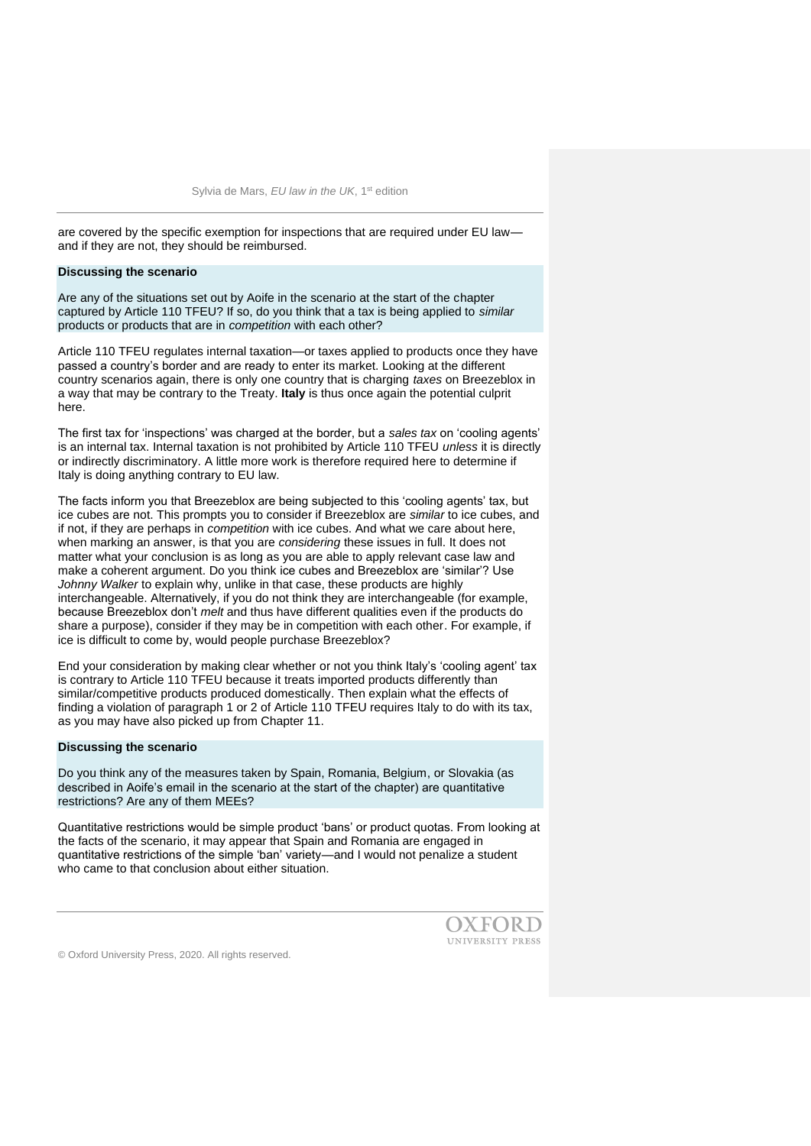are covered by the specific exemption for inspections that are required under EU law and if they are not, they should be reimbursed.

#### **Discussing the scenario**

Are any of the situations set out by Aoife in the scenario at the start of the chapter captured by Article 110 TFEU? If so, do you think that a tax is being applied to *similar*  products or products that are in *competition* with each other?

Article 110 TFEU regulates internal taxation—or taxes applied to products once they have passed a country's border and are ready to enter its market. Looking at the different country scenarios again, there is only one country that is charging *taxes* on Breezeblox in a way that may be contrary to the Treaty. **Italy** is thus once again the potential culprit here.

The first tax for 'inspections' was charged at the border, but a *sales tax* on 'cooling agents' is an internal tax. Internal taxation is not prohibited by Article 110 TFEU *unless* it is directly or indirectly discriminatory. A little more work is therefore required here to determine if Italy is doing anything contrary to EU law.

The facts inform you that Breezeblox are being subjected to this 'cooling agents' tax, but ice cubes are not. This prompts you to consider if Breezeblox are *similar* to ice cubes, and if not, if they are perhaps in *competition* with ice cubes. And what we care about here, when marking an answer, is that you are *considering* these issues in full. It does not matter what your conclusion is as long as you are able to apply relevant case law and make a coherent argument. Do you think ice cubes and Breezeblox are 'similar'? Use *Johnny Walker* to explain why, unlike in that case, these products are highly interchangeable. Alternatively, if you do not think they are interchangeable (for example, because Breezeblox don't *melt* and thus have different qualities even if the products do share a purpose), consider if they may be in competition with each other. For example, if ice is difficult to come by, would people purchase Breezeblox?

End your consideration by making clear whether or not you think Italy's 'cooling agent' tax is contrary to Article 110 TFEU because it treats imported products differently than similar/competitive products produced domestically. Then explain what the effects of finding a violation of paragraph 1 or 2 of Article 110 TFEU requires Italy to do with its tax, as you may have also picked up from Chapter 11.

#### **Discussing the scenario**

Do you think any of the measures taken by Spain, Romania, Belgium, or Slovakia (as described in Aoife's email in the scenario at the start of the chapter) are quantitative restrictions? Are any of them MEEs?

Quantitative restrictions would be simple product 'bans' or product quotas. From looking at the facts of the scenario, it may appear that Spain and Romania are engaged in quantitative restrictions of the simple 'ban' variety—and I would not penalize a student who came to that conclusion about either situation.

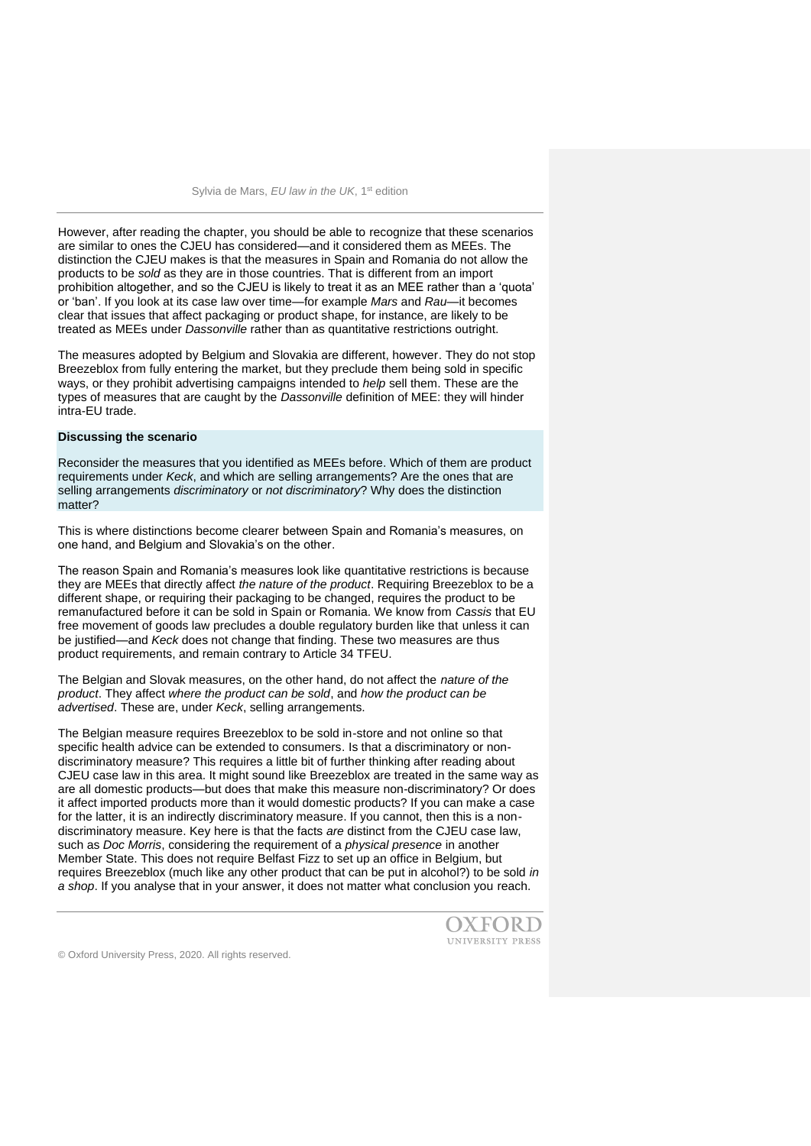However, after reading the chapter, you should be able to recognize that these scenarios are similar to ones the CJEU has considered—and it considered them as MEEs. The distinction the CJEU makes is that the measures in Spain and Romania do not allow the products to be *sold* as they are in those countries. That is different from an import prohibition altogether, and so the CJEU is likely to treat it as an MEE rather than a 'quota' or 'ban'. If you look at its case law over time—for example *Mars* and *Rau—*it becomes clear that issues that affect packaging or product shape, for instance, are likely to be treated as MEEs under *Dassonville* rather than as quantitative restrictions outright.

The measures adopted by Belgium and Slovakia are different, however. They do not stop Breezeblox from fully entering the market, but they preclude them being sold in specific ways, or they prohibit advertising campaigns intended to *help* sell them. These are the types of measures that are caught by the *Dassonville* definition of MEE: they will hinder intra-EU trade.

#### **Discussing the scenario**

Reconsider the measures that you identified as MEEs before. Which of them are product requirements under *Keck*, and which are selling arrangements? Are the ones that are selling arrangements *discriminatory* or *not discriminatory*? Why does the distinction matter?

This is where distinctions become clearer between Spain and Romania's measures, on one hand, and Belgium and Slovakia's on the other.

The reason Spain and Romania's measures look like quantitative restrictions is because they are MEEs that directly affect *the nature of the product*. Requiring Breezeblox to be a different shape, or requiring their packaging to be changed, requires the product to be remanufactured before it can be sold in Spain or Romania. We know from *Cassis* that EU free movement of goods law precludes a double regulatory burden like that unless it can be justified—and *Keck* does not change that finding. These two measures are thus product requirements, and remain contrary to Article 34 TFEU.

The Belgian and Slovak measures, on the other hand, do not affect the *nature of the product*. They affect *where the product can be sold*, and *how the product can be advertised*. These are, under *Keck*, selling arrangements.

The Belgian measure requires Breezeblox to be sold in-store and not online so that specific health advice can be extended to consumers. Is that a discriminatory or nondiscriminatory measure? This requires a little bit of further thinking after reading about CJEU case law in this area. It might sound like Breezeblox are treated in the same way as are all domestic products—but does that make this measure non-discriminatory? Or does it affect imported products more than it would domestic products? If you can make a case for the latter, it is an indirectly discriminatory measure. If you cannot, then this is a nondiscriminatory measure. Key here is that the facts *are* distinct from the CJEU case law, such as *Doc Morris*, considering the requirement of a *physical presence* in another Member State. This does not require Belfast Fizz to set up an office in Belgium, but requires Breezeblox (much like any other product that can be put in alcohol?) to be sold *in a shop*. If you analyse that in your answer, it does not matter what conclusion you reach.

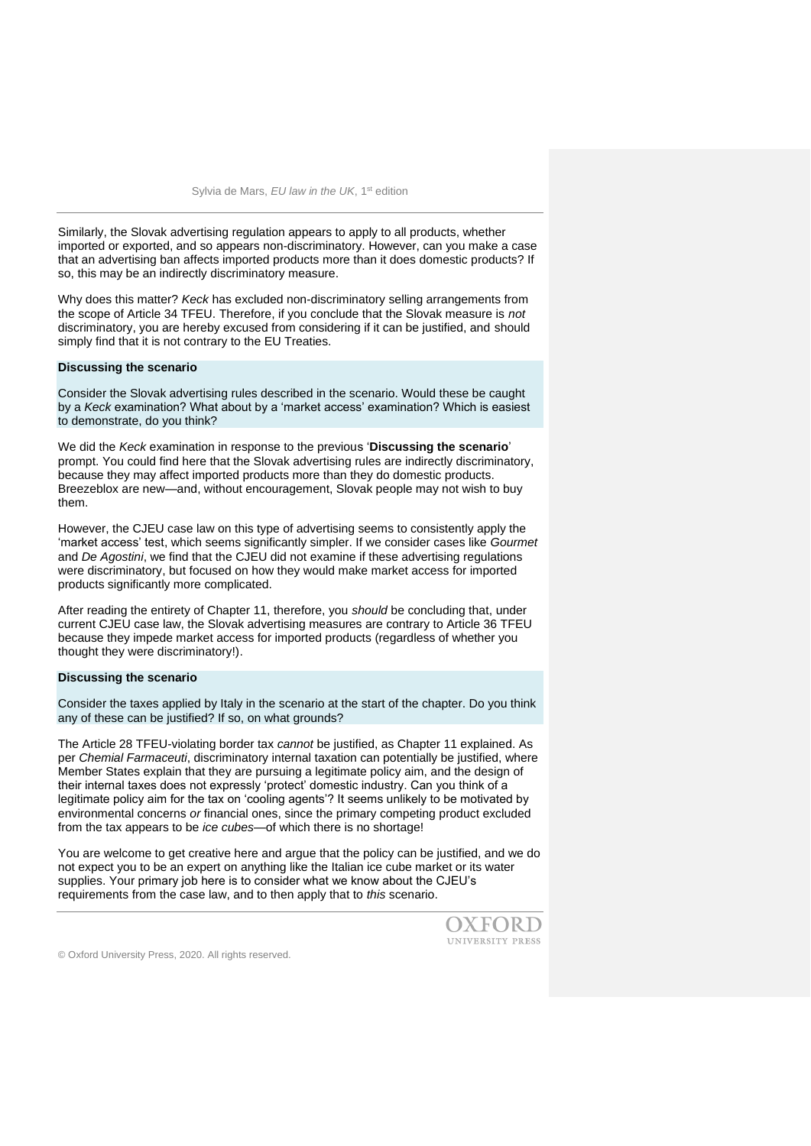Similarly, the Slovak advertising regulation appears to apply to all products, whether imported or exported, and so appears non-discriminatory. However, can you make a case that an advertising ban affects imported products more than it does domestic products? If so, this may be an indirectly discriminatory measure.

Why does this matter? *Keck* has excluded non-discriminatory selling arrangements from the scope of Article 34 TFEU. Therefore, if you conclude that the Slovak measure is *not*  discriminatory, you are hereby excused from considering if it can be justified, and should simply find that it is not contrary to the EU Treaties.

#### **Discussing the scenario**

Consider the Slovak advertising rules described in the scenario. Would these be caught by a *Keck* examination? What about by a 'market access' examination? Which is easiest to demonstrate, do you think?

We did the *Keck* examination in response to the previous '**Discussing the scenario**' prompt. You could find here that the Slovak advertising rules are indirectly discriminatory, because they may affect imported products more than they do domestic products. Breezeblox are new—and, without encouragement, Slovak people may not wish to buy them.

However, the CJEU case law on this type of advertising seems to consistently apply the 'market access' test, which seems significantly simpler. If we consider cases like *Gourmet*  and *De Agostini*, we find that the CJEU did not examine if these advertising regulations were discriminatory, but focused on how they would make market access for imported products significantly more complicated.

After reading the entirety of Chapter 11, therefore, you *should* be concluding that, under current CJEU case law, the Slovak advertising measures are contrary to Article 36 TFEU because they impede market access for imported products (regardless of whether you thought they were discriminatory!).

## **Discussing the scenario**

Consider the taxes applied by Italy in the scenario at the start of the chapter. Do you think any of these can be justified? If so, on what grounds?

The Article 28 TFEU-violating border tax *cannot* be justified, as Chapter 11 explained. As per *Chemial Farmaceuti*, discriminatory internal taxation can potentially be justified, where Member States explain that they are pursuing a legitimate policy aim, and the design of their internal taxes does not expressly 'protect' domestic industry. Can you think of a legitimate policy aim for the tax on 'cooling agents'? It seems unlikely to be motivated by environmental concerns *or* financial ones, since the primary competing product excluded from the tax appears to be *ice cubes*—of which there is no shortage!

You are welcome to get creative here and argue that the policy can be justified, and we do not expect you to be an expert on anything like the Italian ice cube market or its water supplies. Your primary job here is to consider what we know about the CJEU's requirements from the case law, and to then apply that to *this* scenario.

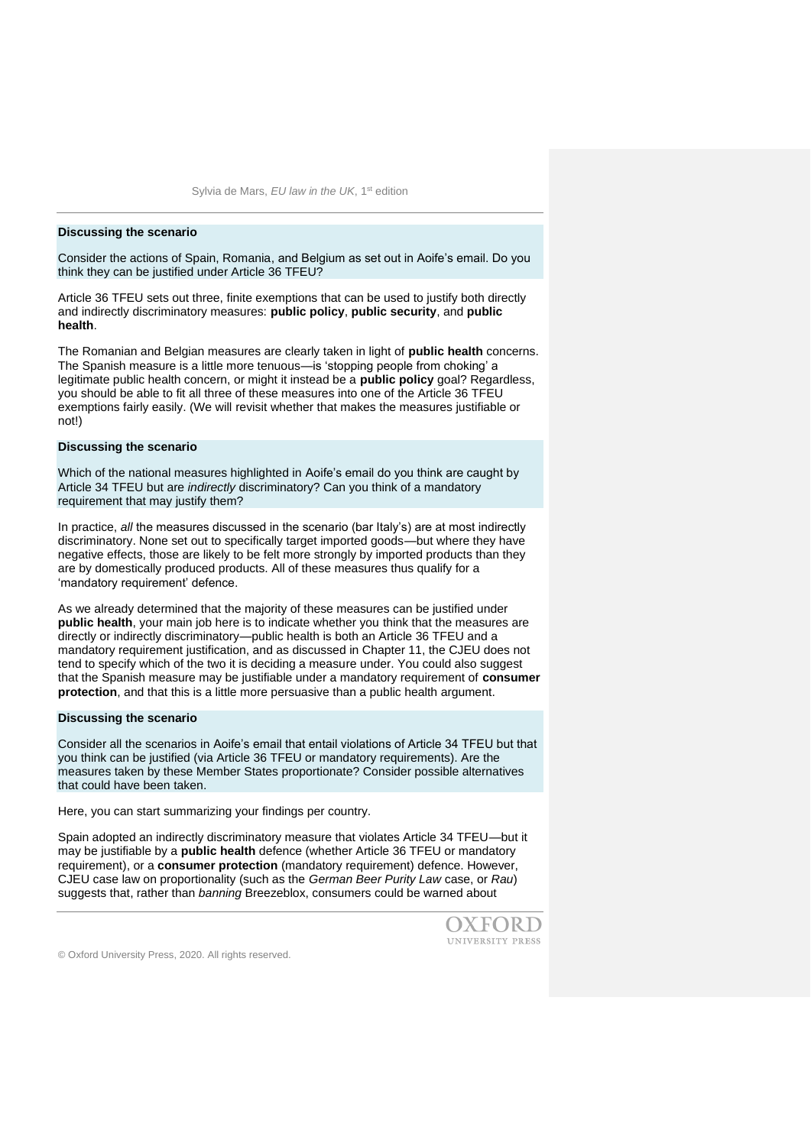#### **Discussing the scenario**

Consider the actions of Spain, Romania, and Belgium as set out in Aoife's email. Do you think they can be justified under Article 36 TFEU?

Article 36 TFEU sets out three, finite exemptions that can be used to justify both directly and indirectly discriminatory measures: **public policy**, **public security**, and **public health**.

The Romanian and Belgian measures are clearly taken in light of **public health** concerns. The Spanish measure is a little more tenuous—is 'stopping people from choking' a legitimate public health concern, or might it instead be a **public policy** goal? Regardless, you should be able to fit all three of these measures into one of the Article 36 TFEU exemptions fairly easily. (We will revisit whether that makes the measures justifiable or not!)

## **Discussing the scenario**

Which of the national measures highlighted in Aoife's email do you think are caught by Article 34 TFEU but are *indirectly* discriminatory? Can you think of a mandatory requirement that may justify them?

In practice, *all* the measures discussed in the scenario (bar Italy's) are at most indirectly discriminatory. None set out to specifically target imported goods—but where they have negative effects, those are likely to be felt more strongly by imported products than they are by domestically produced products. All of these measures thus qualify for a 'mandatory requirement' defence.

As we already determined that the majority of these measures can be justified under **public health**, your main job here is to indicate whether you think that the measures are directly or indirectly discriminatory—public health is both an Article 36 TFEU and a mandatory requirement justification, and as discussed in Chapter 11, the CJEU does not tend to specify which of the two it is deciding a measure under. You could also suggest that the Spanish measure may be justifiable under a mandatory requirement of **consumer protection**, and that this is a little more persuasive than a public health argument.

#### **Discussing the scenario**

Consider all the scenarios in Aoife's email that entail violations of Article 34 TFEU but that you think can be justified (via Article 36 TFEU or mandatory requirements). Are the measures taken by these Member States proportionate? Consider possible alternatives that could have been taken.

Here, you can start summarizing your findings per country.

Spain adopted an indirectly discriminatory measure that violates Article 34 TFEU—but it may be justifiable by a **public health** defence (whether Article 36 TFEU or mandatory requirement), or a **consumer protection** (mandatory requirement) defence. However, CJEU case law on proportionality (such as the *German Beer Purity Law* case, or *Rau*) suggests that, rather than *banning* Breezeblox, consumers could be warned about

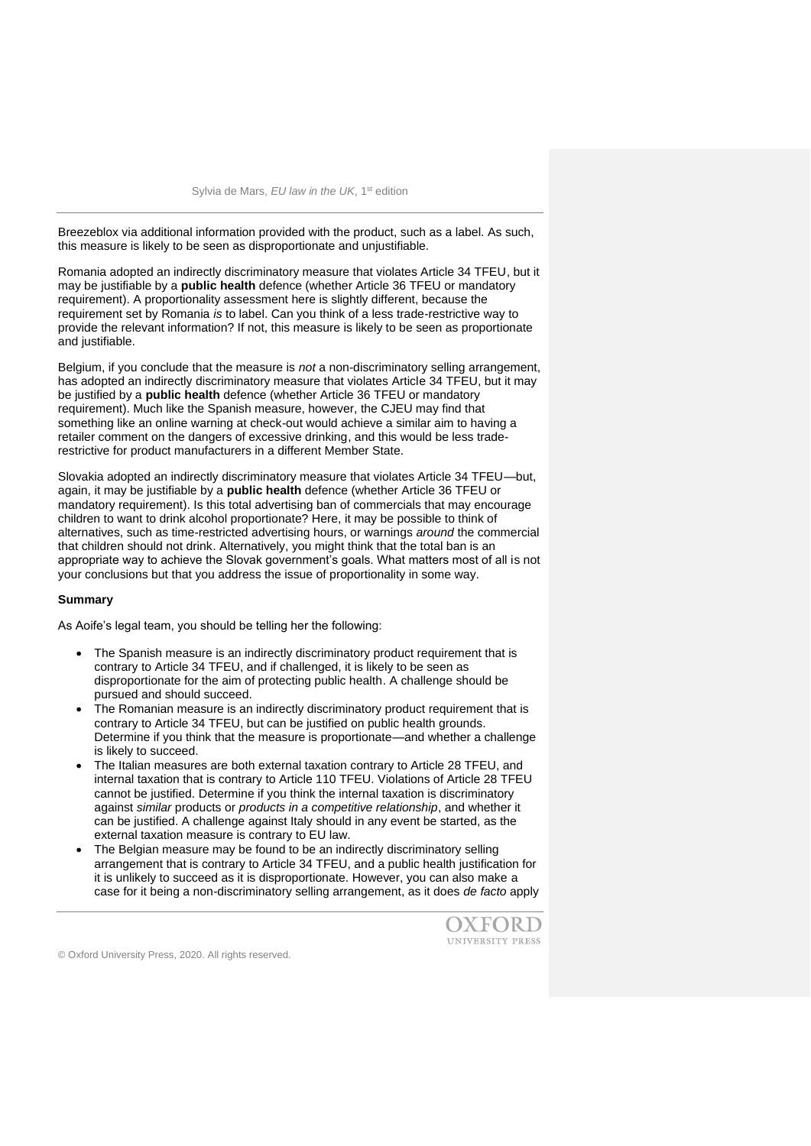Breezeblox via additional information provided with the product, such as a label. As such, this measure is likely to be seen as disproportionate and unjustifiable.

Romania adopted an indirectly discriminatory measure that violates Article 34 TFEU, but it may be justifiable by a **public health** defence (whether Article 36 TFEU or mandatory requirement). A proportionality assessment here is slightly different, because the requirement set by Romania *is* to label. Can you think of a less trade-restrictive way to provide the relevant information? If not, this measure is likely to be seen as proportionate and justifiable.

Belgium, if you conclude that the measure is *not* a non-discriminatory selling arrangement, has adopted an indirectly discriminatory measure that violates Article 34 TFEU, but it may be justified by a **public health** defence (whether Article 36 TFEU or mandatory requirement). Much like the Spanish measure, however, the CJEU may find that something like an online warning at check-out would achieve a similar aim to having a retailer comment on the dangers of excessive drinking, and this would be less traderestrictive for product manufacturers in a different Member State.

Slovakia adopted an indirectly discriminatory measure that violates Article 34 TFEU—but, again, it may be justifiable by a **public health** defence (whether Article 36 TFEU or mandatory requirement). Is this total advertising ban of commercials that may encourage children to want to drink alcohol proportionate? Here, it may be possible to think of alternatives, such as time-restricted advertising hours, or warnings *around* the commercial that children should not drink. Alternatively, you might think that the total ban is an appropriate way to achieve the Slovak government's goals. What matters most of all is not your conclusions but that you address the issue of proportionality in some way.

#### **Summary**

As Aoife's legal team, you should be telling her the following:

- The Spanish measure is an indirectly discriminatory product requirement that is contrary to Article 34 TFEU, and if challenged, it is likely to be seen as disproportionate for the aim of protecting public health. A challenge should be pursued and should succeed.
- The Romanian measure is an indirectly discriminatory product requirement that is contrary to Article 34 TFEU, but can be justified on public health grounds. Determine if you think that the measure is proportionate—and whether a challenge is likely to succeed.
- The Italian measures are both external taxation contrary to Article 28 TFEU, and internal taxation that is contrary to Article 110 TFEU. Violations of Article 28 TFEU cannot be justified. Determine if you think the internal taxation is discriminatory against *similar* products or *products in a competitive relationship*, and whether it can be justified. A challenge against Italy should in any event be started, as the external taxation measure is contrary to EU law.
- The Belgian measure may be found to be an indirectly discriminatory selling arrangement that is contrary to Article 34 TFEU, and a public health justification for it is unlikely to succeed as it is disproportionate. However, you can also make a case for it being a non-discriminatory selling arrangement, as it does *de facto* apply